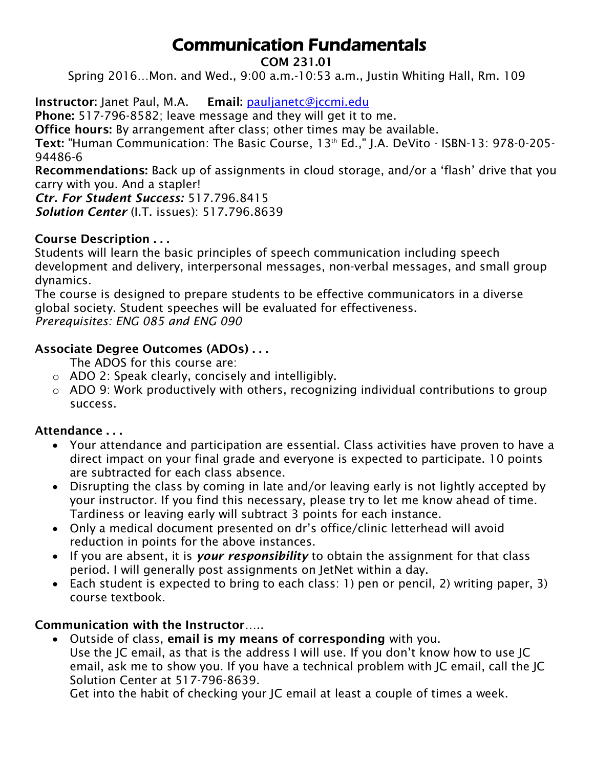# Communication Fundamentals

#### **COM 231.01**

Spring 2016…Mon. and Wed., 9:00 a.m.-10:53 a.m., Justin Whiting Hall, Rm. 109

**Instructor:** Janet Paul, M.A. **Email:** [pauljanetc@jccmi.edu](mailto:pauljanetc@jccmi.edu)

**Phone:** 517-796-8582; leave message and they will get it to me.

**Office hours:** By arrangement after class; other times may be available.

**Text:** "Human Communication: The Basic Course, 13th Ed.," J.A. DeVito - ISBN-13: 978-0-205- 94486-6

**Recommendations:** Back up of assignments in cloud storage, and/or a 'flash' drive that you carry with you. And a stapler!

*Ctr. For Student Success:* 517.796.8415 *Solution Center* (I.T. issues): 517.796.8639

## **Course Description . . .**

Students will learn the basic principles of speech communication including speech development and delivery, interpersonal messages, non-verbal messages, and small group dynamics.

The course is designed to prepare students to be effective communicators in a diverse global society. Student speeches will be evaluated for effectiveness. *Prerequisites: ENG 085 and ENG 090*

#### **Associate Degree Outcomes (ADOs) . . .**

The ADOS for this course are:

- o ADO 2: Speak clearly, concisely and intelligibly.
- $\circ$  ADO 9: Work productively with others, recognizing individual contributions to group success.

## **Attendance . . .**

- Your attendance and participation are essential. Class activities have proven to have a direct impact on your final grade and everyone is expected to participate. 10 points are subtracted for each class absence.
- Disrupting the class by coming in late and/or leaving early is not lightly accepted by your instructor. If you find this necessary, please try to let me know ahead of time. Tardiness or leaving early will subtract 3 points for each instance.
- Only a medical document presented on dr's office/clinic letterhead will avoid reduction in points for the above instances.
- If you are absent, it is *your responsibility* to obtain the assignment for that class period. I will generally post assignments on JetNet within a day.
- Each student is expected to bring to each class: 1) pen or pencil, 2) writing paper, 3) course textbook.

## **Communication with the Instructor**…..

 Outside of class, **email is my means of corresponding** with you. Use the JC email, as that is the address I will use. If you don't know how to use JC email, ask me to show you. If you have a technical problem with JC email, call the JC Solution Center at 517-796-8639.

Get into the habit of checking your JC email at least a couple of times a week.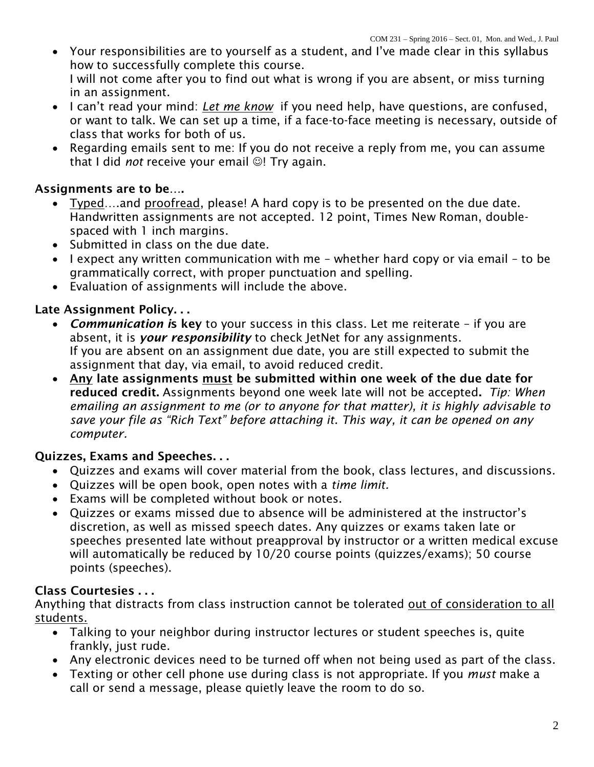- Your responsibilities are to yourself as a student, and I've made clear in this syllabus how to successfully complete this course. I will not come after you to find out what is wrong if you are absent, or miss turning in an assignment.
- I can't read your mind: *Let me know* if you need help, have questions, are confused, or want to talk. We can set up a time, if a face-to-face meeting is necessary, outside of class that works for both of us.
- Regarding emails sent to me: If you do not receive a reply from me, you can assume that I did *not* receive your email  $\odot$ ! Try again.

## **Assignments are to be….**

- Typed….and proofread, please! A hard copy is to be presented on the due date. Handwritten assignments are not accepted. 12 point, Times New Roman, doublespaced with 1 inch margins.
- Submitted in class on the due date.
- I expect any written communication with me whether hard copy or via email to be grammatically correct, with proper punctuation and spelling.
- Evaluation of assignments will include the above.

## **Late Assignment Policy. . .**

- *Communication i***s key** to your success in this class. Let me reiterate if you are absent, it is *your responsibility* to check JetNet for any assignments. If you are absent on an assignment due date, you are still expected to submit the assignment that day, via email, to avoid reduced credit.
- **Any late assignments must be submitted within one week of the due date for reduced credit.** Assignments beyond one week late will not be accepted**.** *Tip: When emailing an assignment to me (or to anyone for that matter), it is highly advisable to save your file as "Rich Text" before attaching it. This way, it can be opened on any computer.*

## **Quizzes, Exams and Speeches. . .**

- Quizzes and exams will cover material from the book, class lectures, and discussions.
- Quizzes will be open book, open notes with a *time limit.*
- Exams will be completed without book or notes.
- Quizzes or exams missed due to absence will be administered at the instructor's discretion, as well as missed speech dates. Any quizzes or exams taken late or speeches presented late without preapproval by instructor or a written medical excuse will automatically be reduced by 10/20 course points (quizzes/exams); 50 course points (speeches).

## **Class Courtesies . . .**

Anything that distracts from class instruction cannot be tolerated out of consideration to all students.

- Talking to your neighbor during instructor lectures or student speeches is, quite frankly, just rude.
- Any electronic devices need to be turned off when not being used as part of the class.
- Texting or other cell phone use during class is not appropriate. If you *must* make a call or send a message, please quietly leave the room to do so.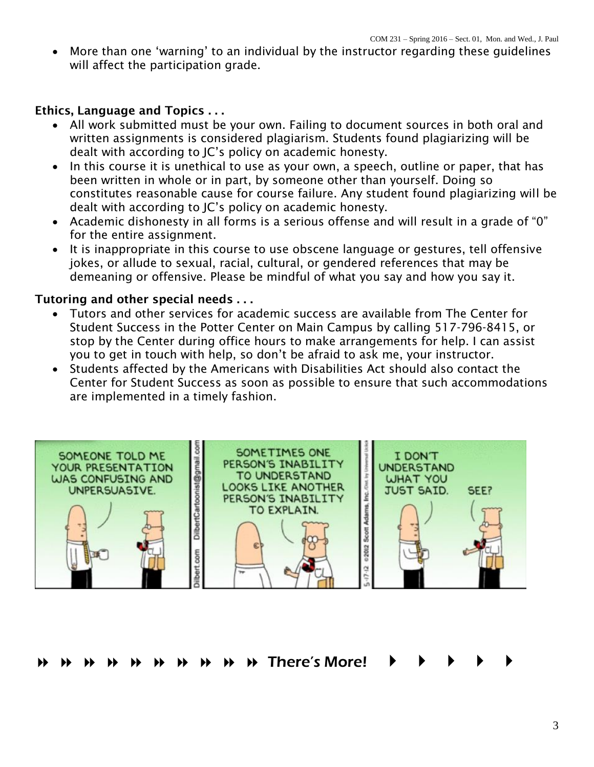More than one 'warning' to an individual by the instructor regarding these guidelines will affect the participation grade.

#### **Ethics, Language and Topics . . .**

- All work submitted must be your own. Failing to document sources in both oral and written assignments is considered plagiarism. Students found plagiarizing will be dealt with according to JC's policy on academic honesty.
- In this course it is unethical to use as your own, a speech, outline or paper, that has been written in whole or in part, by someone other than yourself. Doing so constitutes reasonable cause for course failure. Any student found plagiarizing will be dealt with according to JC's policy on academic honesty.
- Academic dishonesty in all forms is a serious offense and will result in a grade of "0" for the entire assignment.
- It is inappropriate in this course to use obscene language or gestures, tell offensive jokes, or allude to sexual, racial, cultural, or gendered references that may be demeaning or offensive. Please be mindful of what you say and how you say it.

#### **Tutoring and other special needs . . .**

- Tutors and other services for academic success are available from The Center for Student Success in the Potter Center on Main Campus by calling 517-796-8415, or stop by the Center during office hours to make arrangements for help. I can assist you to get in touch with help, so don't be afraid to ask me, your instructor.
- Students affected by the Americans with Disabilities Act should also contact the Center for Student Success as soon as possible to ensure that such accommodations are implemented in a timely fashion.



There's More!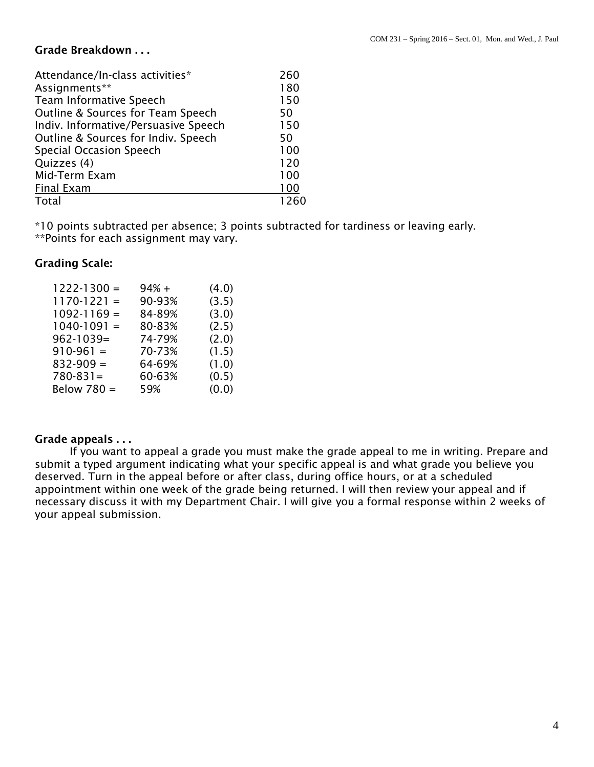#### **Grade Breakdown . . .**

| 260  |
|------|
| 180  |
| 150  |
| 50   |
| 150  |
| 50   |
| 100  |
| 120  |
| 100  |
| 100  |
| 1260 |
|      |

\*10 points subtracted per absence; 3 points subtracted for tardiness or leaving early. \*\*Points for each assignment may vary.

#### **Grading Scale:**

| $1222 - 1300 =$ | $94% +$ | (4.0) |
|-----------------|---------|-------|
| $1170-1221 =$   | 90-93%  | (3.5) |
| $1092 - 1169 =$ | 84-89%  | (3.0) |
| $1040-1091 =$   | 80-83%  | (2.5) |
| $962 - 1039 =$  | 74-79%  | (2.0) |
| $910-961 =$     | 70-73%  | (1.5) |
| $832 - 909 =$   | 64-69%  | (1.0) |
| $780 - 831 =$   | 60-63%  | (0.5) |
| Below 780 =     | 59%     | (0.0) |

#### **Grade appeals . . .**

If you want to appeal a grade you must make the grade appeal to me in writing. Prepare and submit a typed argument indicating what your specific appeal is and what grade you believe you deserved. Turn in the appeal before or after class, during office hours, or at a scheduled appointment within one week of the grade being returned. I will then review your appeal and if necessary discuss it with my Department Chair. I will give you a formal response within 2 weeks of your appeal submission.